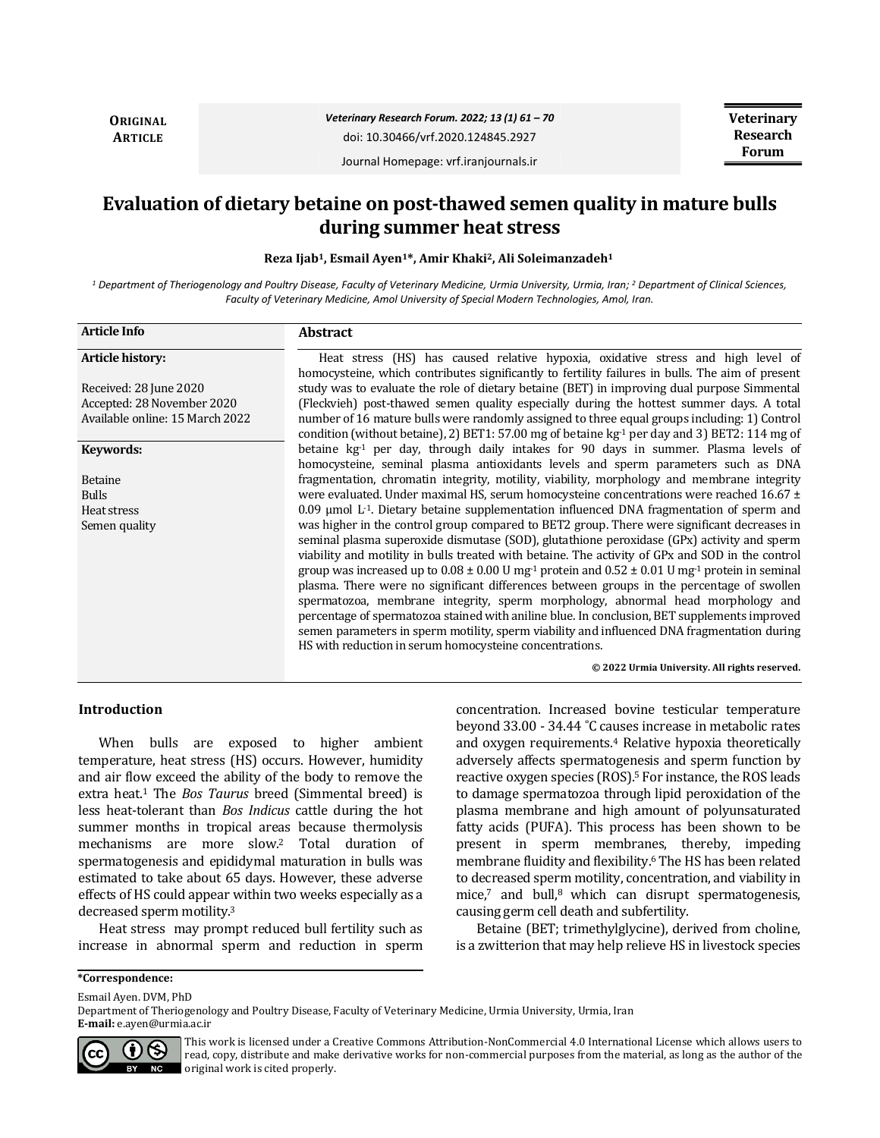**ORIGINAL ARTICLE**

*Veterinary Research Forum. 2022; 13 (1) 61 – 70*

doi: 10.30466/vrf.2020.124845.2927

Journal Homepage: vrf.iranjournals.ir

# **Evaluation of dietary betaine on post-thawed semen quality in mature bulls during summer heat stress**

**Reza Ijab1, Esmail Ayen1\*, Amir Khaki2, Ali Soleimanzadeh<sup>1</sup>**

*<sup>1</sup> Department of Theriogenology and Poultry Disease, Faculty of Veterinary Medicine, Urmia University, Urmia, Iran; <sup>2</sup> Department of Clinical Sciences, Faculty of Veterinary Medicine, Amol University of Special Modern Technologies, Amol, Iran.*

| <b>Article Info</b>             | <b>Abstract</b>                                                                                                                                                                                                                                                                                                                                                                                                                                                                                                                                                                                                                                                                                                                                                                                                                                                           |
|---------------------------------|---------------------------------------------------------------------------------------------------------------------------------------------------------------------------------------------------------------------------------------------------------------------------------------------------------------------------------------------------------------------------------------------------------------------------------------------------------------------------------------------------------------------------------------------------------------------------------------------------------------------------------------------------------------------------------------------------------------------------------------------------------------------------------------------------------------------------------------------------------------------------|
| <b>Article history:</b>         | Heat stress (HS) has caused relative hypoxia, oxidative stress and high level of<br>homocysteine, which contributes significantly to fertility failures in bulls. The aim of present                                                                                                                                                                                                                                                                                                                                                                                                                                                                                                                                                                                                                                                                                      |
| Received: 28 June 2020          | study was to evaluate the role of dietary betaine (BET) in improving dual purpose Simmental                                                                                                                                                                                                                                                                                                                                                                                                                                                                                                                                                                                                                                                                                                                                                                               |
| Accepted: 28 November 2020      | (Fleckvieh) post-thawed semen quality especially during the hottest summer days. A total                                                                                                                                                                                                                                                                                                                                                                                                                                                                                                                                                                                                                                                                                                                                                                                  |
| Available online: 15 March 2022 | number of 16 mature bulls were randomly assigned to three equal groups including: 1) Control<br>condition (without betaine), 2) BET1: 57.00 mg of betaine $kg-1$ per day and 3) BET2: 114 mg of                                                                                                                                                                                                                                                                                                                                                                                                                                                                                                                                                                                                                                                                           |
| Keywords:                       | betaine $kg-1$ per day, through daily intakes for 90 days in summer. Plasma levels of<br>homocysteine, seminal plasma antioxidants levels and sperm parameters such as DNA                                                                                                                                                                                                                                                                                                                                                                                                                                                                                                                                                                                                                                                                                                |
| Betaine                         | fragmentation, chromatin integrity, motility, viability, morphology and membrane integrity                                                                                                                                                                                                                                                                                                                                                                                                                                                                                                                                                                                                                                                                                                                                                                                |
| <b>Bulls</b>                    | were evaluated. Under maximal HS, serum homocysteine concentrations were reached $16.67 \pm$                                                                                                                                                                                                                                                                                                                                                                                                                                                                                                                                                                                                                                                                                                                                                                              |
| Heat stress                     | $0.09$ µmol L <sup>-1</sup> . Dietary betaine supplementation influenced DNA fragmentation of sperm and                                                                                                                                                                                                                                                                                                                                                                                                                                                                                                                                                                                                                                                                                                                                                                   |
| Semen quality                   | was higher in the control group compared to BET2 group. There were significant decreases in<br>seminal plasma superoxide dismutase (SOD), glutathione peroxidase (GPx) activity and sperm<br>viability and motility in bulls treated with betaine. The activity of GPx and SOD in the control<br>group was increased up to $0.08 \pm 0.00$ U mg <sup>-1</sup> protein and $0.52 \pm 0.01$ U mg <sup>-1</sup> protein in seminal<br>plasma. There were no significant differences between groups in the percentage of swollen<br>spermatozoa, membrane integrity, sperm morphology, abnormal head morphology and<br>percentage of spermatozoa stained with aniline blue. In conclusion, BET supplements improved<br>semen parameters in sperm motility, sperm viability and influenced DNA fragmentation during<br>HS with reduction in serum homocysteine concentrations. |

**© 2022 Urmia University. All rights reserved.**

# **Introduction**

When bulls are exposed to higher ambient temperature, heat stress (HS) occurs. However, humidity and air flow exceed the ability of the body to remove the extra heat.<sup>1</sup> The *Bos Taurus* breed (Simmental breed) is less heat-tolerant than *Bos Indicus* cattle during the hot summer months in tropical areas because thermolysis mechanisms are more slow.<sup>2</sup> Total duration of spermatogenesis and epididymal maturation in bulls was estimated to take about 65 days. However, these adverse effects of HS could appear within two weeks especially as a decreased sperm motility.<sup>3</sup>

Heat stress may prompt reduced bull fertility such as increase in abnormal sperm and reduction in sperm concentration. Increased bovine testicular temperature beyond 33.00 - 34.44 ˚C causes increase in metabolic rates and oxygen requirements.<sup>4</sup> Relative hypoxia theoretically adversely affects spermatogenesis and sperm function by reactive oxygen species (ROS).<sup>5</sup> For instance, the ROS leads to damage spermatozoa through lipid peroxidation of the plasma membrane and high amount of polyunsaturated fatty acids (PUFA). This process has been shown to be present in sperm membranes, thereby, impeding membrane fluidity and flexibility.<sup>6</sup> The HS has been related to decreased sperm motility, concentration, and viability in mice, $7$  and bull, $8$  which can disrupt spermatogenesis, causing germ cell death and subfertility.

Betaine (BET; trimethylglycine), derived from choline, is a zwitterion that may help relieve HS in livestock species

**\*Correspondence:**

Esmail Ayen. DVM, PhD

Department of Theriogenology and Poultry Disease, Faculty of Veterinary Medicine, Urmia University, Urmia, Iran **E-mail:** e.ayen@urmia.ac.ir



This work is licensed under a [Creative Commons Attribution-NonCommercial 4.0 International License](http://creativecommons.org/licenses/by-nc/4.0/) which allows users to read, copy, distribute and make derivative works for non-commercial purposes from the material, as long as the author of the original work is cited properly.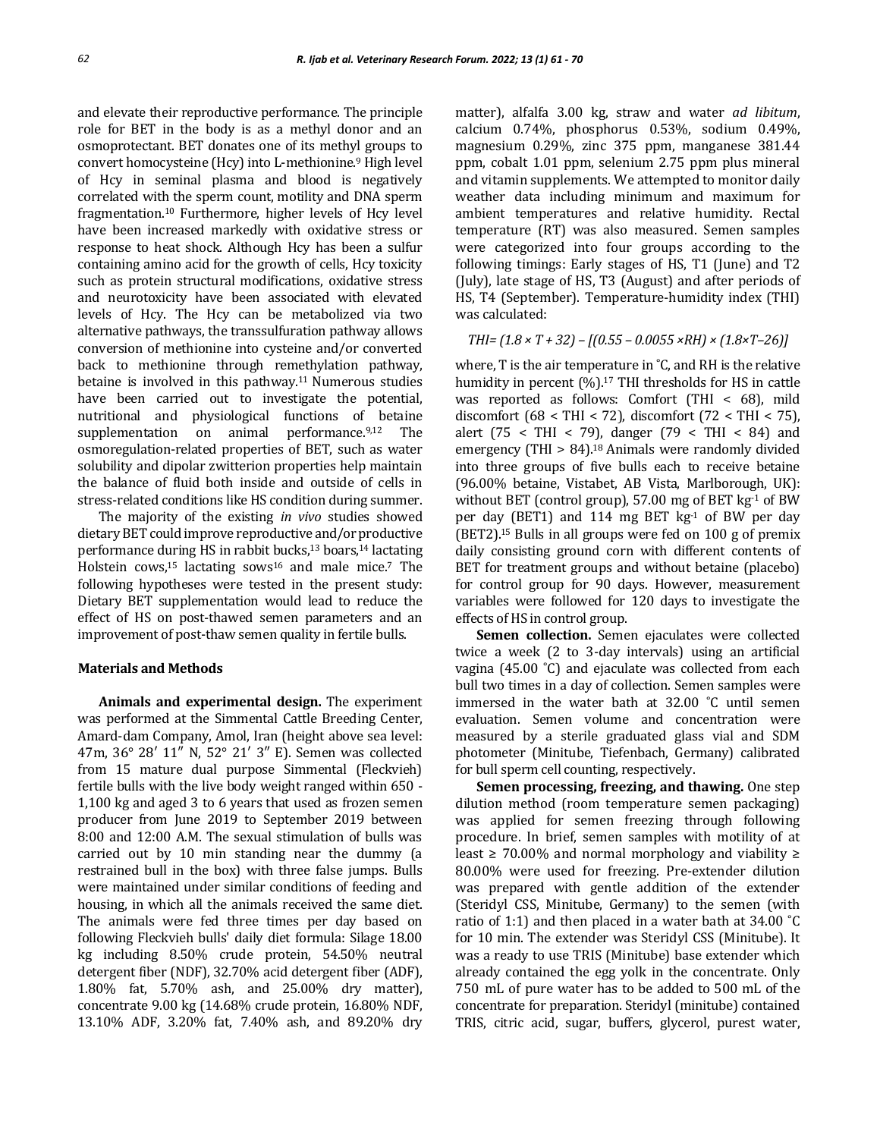and elevate their reproductive performance. The principle role for BET in the body is as a methyl donor and an osmoprotectant. BET donates one of its methyl groups to convert homocysteine (Hcy) into L-methionine.<sup>9</sup> High level of Hcy in seminal plasma and blood is negatively correlated with the sperm count, motility and DNA sperm fragmentation.<sup>10</sup> Furthermore, higher levels of Hcy level have been increased markedly with oxidative stress or response to heat shock. Although Hcy has been a sulfur containing amino acid for the growth of cells, Hcy toxicity such as protein structural modifications, oxidative stress and neurotoxicity have been associated with elevated levels of Hcy. The Hcy can be metabolized via two alternative pathways, the transsulfuration pathway allows conversion of methionine into cysteine and/or converted back to methionine through remethylation pathway, betaine is involved in this pathway.11 Numerous studies have been carried out to investigate the potential, nutritional and physiological functions of betaine supplementation on animal performance.9,12 The osmoregulation-related properties of BET, such as water solubility and dipolar zwitterion properties help maintain the balance of fluid both inside and outside of cells in stress-related conditions like HS condition during summer.

The majority of the existing *in vivo* studies showed dietary BET could improve reproductive and/or productive performance during HS in rabbit bucks,<sup>13</sup> boars,<sup>14</sup> lactating Holstein cows, $15$  lactating sows $16$  and male mice.<sup>7</sup> The following hypotheses were tested in the present study: Dietary BET supplementation would lead to reduce the effect of HS on post-thawed semen parameters and an improvement of post-thaw semen quality in fertile bulls.

#### **Materials and Methods**

**Animals and experimental design.** The experiment was performed at the Simmental Cattle Breeding Center, Amard-dam Company, Amol, Iran (height above sea level: 47m, 36° 28′ 11″ N, 52° 21′ 3″ E). Semen was collected from 15 mature dual purpose Simmental (Fleckvieh) fertile bulls with the live body weight ranged within 650 - 1,100 kg and aged 3 to 6 years that used as frozen semen producer from June 2019 to September 2019 between 8:00 and 12:00 A.M. The sexual stimulation of bulls was carried out by 10 min standing near the dummy (a restrained bull in the box) with three false jumps. Bulls were maintained under similar conditions of feeding and housing, in which all the animals received the same diet. The animals were fed three times per day based on following Fleckvieh bulls' daily diet formula: Silage 18.00 kg including 8.50% crude protein, 54.50% neutral detergent fiber (NDF), 32.70% acid detergent fiber (ADF), 1.80% fat, 5.70% ash, and 25.00% dry matter), concentrate 9.00 kg (14.68% crude protein, 16.80% NDF, 13.10% ADF, 3.20% fat, 7.40% ash, and 89.20% dry

matter), alfalfa 3.00 kg, straw and water *ad libitum*, calcium 0.74%, phosphorus 0.53%, sodium 0.49%, magnesium 0.29%, zinc 375 ppm, manganese 381.44 ppm, cobalt 1.01 ppm, selenium 2.75 ppm plus mineral and vitamin supplements. We attempted to monitor daily weather data including minimum and maximum for ambient temperatures and relative humidity. Rectal temperature (RT) was also measured. Semen samples were categorized into four groups according to the following timings: Early stages of HS, T1 (June) and T2 (July), late stage of HS, T3 (August) and after periods of HS, T4 (September). Temperature-humidity index (THI) was calculated:

$$
THI = (1.8 \times T + 32) - [(0.55 - 0.0055 \times RH) \times (1.8 \times T - 26)]
$$

where, T is the air temperature in ˚C, and RH is the relative humidity in percent  $(\%).^{17}$  THI thresholds for HS in cattle was reported as follows: Comfort (THI < 68), mild discomfort (68 < THI < 72), discomfort (72 < THI < 75), alert (75 < THI < 79), danger (79 < THI < 84) and emergency (THI > 84).<sup>18</sup> Animals were randomly divided into three groups of five bulls each to receive betaine (96.00% betaine, Vistabet, AB Vista, Marlborough, UK): without BET (control group),  $57.00$  mg of BET kg $^{-1}$  of BW per day (BET1) and 114 mg BET kg-1 of BW per day (BET2).<sup>15</sup> Bulls in all groups were fed on 100 g of premix daily consisting ground corn with different contents of BET for treatment groups and without betaine (placebo) for control group for 90 days. However, measurement variables were followed for 120 days to investigate the effects of HS in control group.

**Semen collection.** Semen ejaculates were collected twice a week (2 to 3-day intervals) using an artificial vagina (45.00 ˚C) and ejaculate was collected from each bull two times in a day of collection. Semen samples were immersed in the water bath at 32.00 ˚C until semen evaluation. Semen volume and concentration were measured by a sterile graduated glass vial and SDM photometer (Minitube, Tiefenbach, Germany) calibrated for bull sperm cell counting, respectively.

**Semen processing, freezing, and thawing.** One step dilution method (room temperature semen packaging) was applied for semen freezing through following procedure. In brief, semen samples with motility of at least ≥ 70.00% and normal morphology and viability ≥ 80.00% were used for freezing. Pre-extender dilution was prepared with gentle addition of the extender (Steridyl CSS, Minitube, Germany) to the semen (with ratio of 1:1) and then placed in a water bath at 34.00 ˚C for 10 min. The extender was Steridyl CSS (Minitube). It was a ready to use TRIS (Minitube) base extender which already contained the egg yolk in the concentrate. Only 750 mL of pure water has to be added to 500 mL of the concentrate for preparation. Steridyl (minitube) contained TRIS, citric acid, sugar, buffers, glycerol, purest water,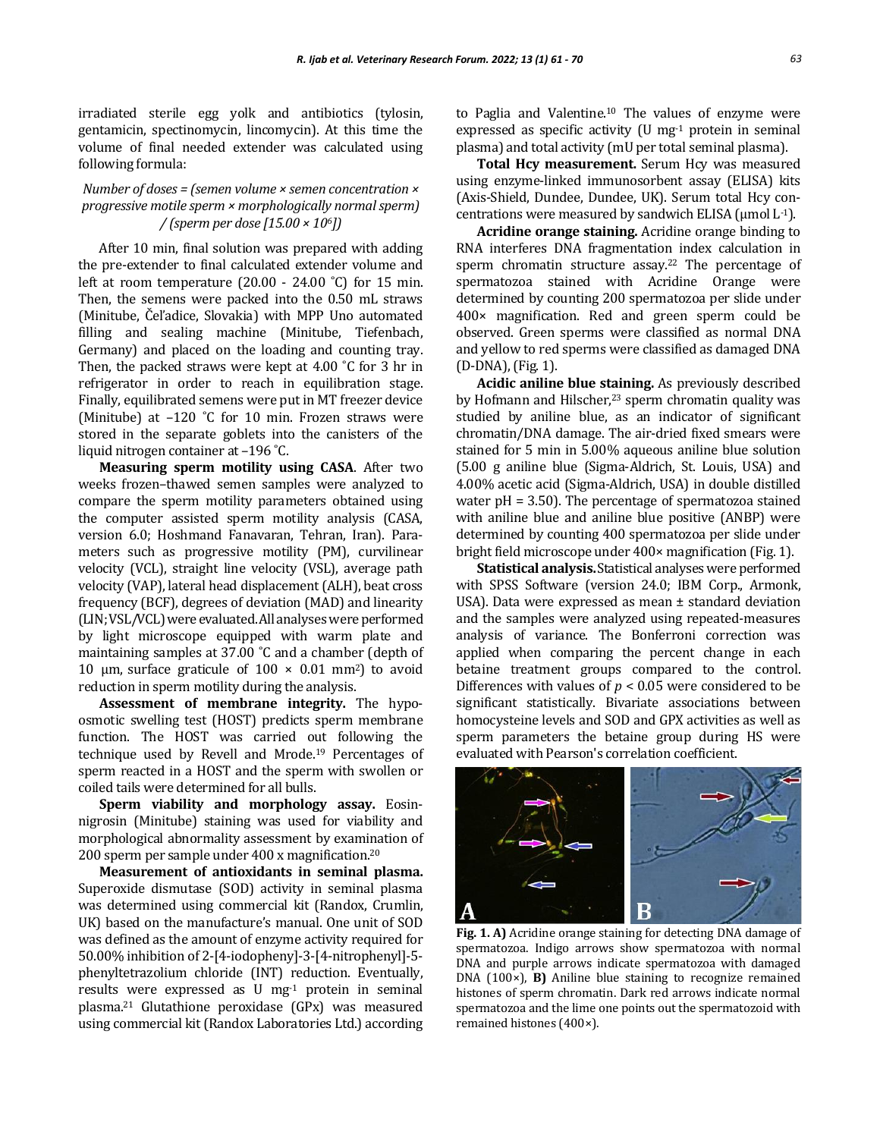irradiated sterile egg yolk and antibiotics (tylosin, gentamicin, spectinomycin, lincomycin). At this time the volume of final needed extender was calculated using following formula:

# *Number of doses = (semen volume × semen concentration × progressive motile sperm × morphologically normal sperm) / (sperm per dose [15.00 × 106])*

After 10 min, final solution was prepared with adding the pre-extender to final calculated extender volume and left at room temperature  $(20.00 - 24.00 \degree C)$  for 15 min. Then, the semens were packed into the 0.50 mL straws (Minitube, Čeľadice, Slovakia) with MPP Uno automated filling and sealing machine (Minitube, Tiefenbach, Germany) and placed on the loading and counting tray. Then, the packed straws were kept at 4.00 ˚C for 3 hr in refrigerator in order to reach in equilibration stage. Finally, equilibrated semens were put in MT freezer device (Minitube) at  $-120$  °C for 10 min. Frozen straws were stored in the separate goblets into the canisters of the liquid nitrogen container at –196 ˚C.

**Measuring sperm motility using CASA**. After two weeks frozen–thawed semen samples were analyzed to compare the sperm motility parameters obtained using the computer assisted sperm motility analysis (CASA, version 6.0; Hoshmand Fanavaran, Tehran, Iran). Parameters such as progressive motility (PM), curvilinear velocity (VCL), straight line velocity (VSL), average path velocity (VAP), lateral head displacement (ALH), beat cross frequency (BCF), degrees of deviation (MAD) and linearity (LIN; VSL/VCL) were evaluated. All analyses were performed by light microscope equipped with warm plate and maintaining samples at 37.00 ˚C and a chamber (depth of 10  $\mu$ m, surface graticule of 100  $\times$  0.01 mm<sup>2</sup>) to avoid reduction in sperm motility during the analysis.

**Assessment of membrane integrity.** The hypoosmotic swelling test (HOST) predicts sperm membrane function. The HOST was carried out following the technique used by Revell and Mrode.<sup>19</sup> Percentages of sperm reacted in a HOST and the sperm with swollen or coiled tails were determined for all bulls.

**Sperm viability and morphology assay.** Eosinnigrosin (Minitube) staining was used for viability and morphological abnormality assessment by examination of 200 sperm per sample under 400 x magnification.<sup>20</sup>

**Measurement of antioxidants in seminal plasma.** Superoxide dismutase (SOD) activity in seminal plasma was determined using commercial kit (Randox, Crumlin, UK) based on the manufacture's manual. One unit of SOD was defined as the amount of enzyme activity required for 50.00% inhibition of 2-[4-iodopheny]-3-[4-nitrophenyl]-5 phenyltetrazolium chloride (INT) reduction. Eventually, results were expressed as  $U$  mg<sup>-1</sup> protein in seminal plasma.<sup>21</sup> Glutathione peroxidase (GPx) was measured using commercial kit (Randox Laboratories Ltd.) according to Paglia and Valentine.<sup>10</sup> The values of enzyme were expressed as specific activity  $(U \text{ mg}^{-1})$  protein in seminal plasma) and total activity (mU per total seminal plasma).

Total Hcy measurement. Serum Hcy was measured using enzyme-linked immunosorbent assay (ELISA) kits (Axis-Shield, Dundee, Dundee, UK). Serum total Hcy concentrations were measured by sandwich ELISA ( $\mu$ mol L<sup>-1</sup>).

**Acridine orange staining.** Acridine orange binding to RNA interferes DNA fragmentation index calculation in sperm chromatin structure assay.<sup>22</sup> The percentage of spermatozoa stained with Acridine Orange were determined by counting 200 spermatozoa per slide under 400× magnification. Red and green sperm could be observed. Green sperms were classified as normal DNA and yellow to red sperms were classified as damaged DNA (D-DNA), (Fig. 1).

**Acidic aniline blue staining.** As previously described by Hofmann and Hilscher,<sup>23</sup> sperm chromatin quality was studied by aniline blue, as an indicator of significant chromatin/DNA damage. The air-dried fixed smears were stained for 5 min in 5.00% aqueous aniline blue solution (5.00 g aniline blue (Sigma-Aldrich, St. Louis, USA) and 4.00% acetic acid (Sigma-Aldrich, USA) in double distilled water pH = 3.50). The percentage of spermatozoa stained with aniline blue and aniline blue positive (ANBP) were determined by counting 400 spermatozoa per slide under bright field microscope under 400× magnification (Fig. 1).

**Statistical analysis.** Statistical analyses were performed with SPSS Software (version 24.0; IBM Corp., Armonk, USA). Data were expressed as mean ± standard deviation and the samples were analyzed using repeated-measures analysis of variance. The Bonferroni correction was applied when comparing the percent change in each betaine treatment groups compared to the control. Differences with values of  $p < 0.05$  were considered to be significant statistically. Bivariate associations between homocysteine levels and SOD and GPX activities as well as sperm parameters the betaine group during HS were evaluated with Pearson's correlation coefficient.



**Fig. 1. A)** Acridine orange staining for detecting DNA damage of spermatozoa. Indigo arrows show spermatozoa with normal DNA and purple arrows indicate spermatozoa with damaged DNA (100×), **B)** Aniline blue staining to recognize remained histones of sperm chromatin. Dark red arrows indicate normal spermatozoa and the lime one points out the spermatozoid with remained histones (400×).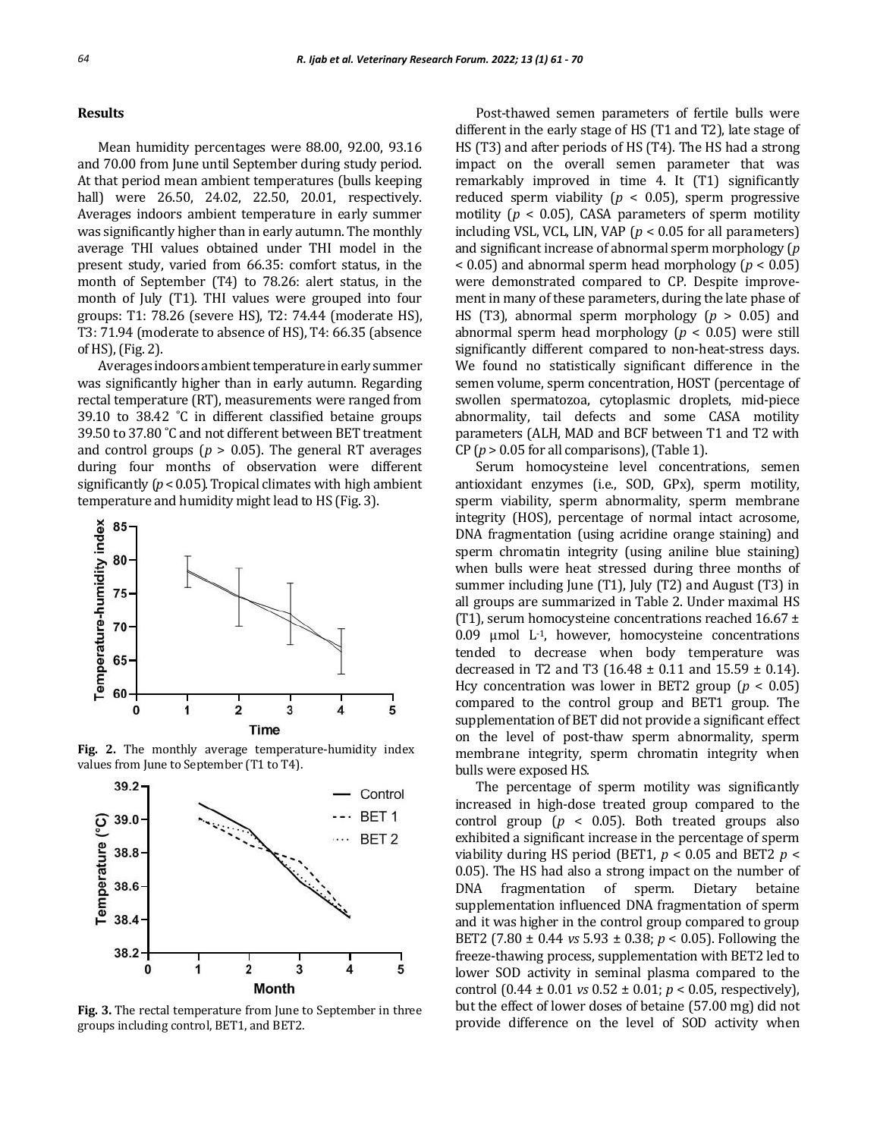#### **Results**

Mean humidity percentages were 88.00, 92.00, 93.16 and 70.00 from June until September during study period. At that period mean ambient temperatures (bulls keeping hall) were 26.50, 24.02, 22.50, 20.01, respectively. Averages indoors ambient temperature in early summer was significantly higher than in early autumn. The monthly average THI values obtained under THI model in the present study, varied from 66.35: comfort status, in the month of September (T4) to 78.26: alert status, in the month of July (T1). THI values were grouped into four groups: T1: 78.26 (severe HS), T2: 74.44 (moderate HS), T3: 71.94 (moderate to absence of HS), T4: 66.35 (absence of HS), (Fig. 2).

Averages indoors ambient temperature in early summer was significantly higher than in early autumn. Regarding rectal temperature (RT), measurements were ranged from 39.10 to 38.42 ˚C in different classified betaine groups 39.50 to 37.80 ˚C and not different between BET treatment and control groups ( $p > 0.05$ ). The general RT averages during four months of observation were different significantly (*p* < 0.05). Tropical climates with high ambient temperature and humidity might lead to HS (Fig. 3).



**Fig. 2.** The monthly average temperature-humidity index values from June to September (T1 to T4).



**Fig. 3.** The rectal temperature from June to September in three groups including control, BET1, and BET2.

Post-thawed semen parameters of fertile bulls were different in the early stage of HS (T1 and T2), late stage of HS (T3) and after periods of HS (T4). The HS had a strong impact on the overall semen parameter that was remarkably improved in time 4. It (T1) significantly reduced sperm viability ( $p < 0.05$ ), sperm progressive motility ( $p < 0.05$ ), CASA parameters of sperm motility including VSL, VCL, LIN, VAP (*p* < 0.05 for all parameters) and significant increase of abnormal sperm morphology (*p* < 0.05) and abnormal sperm head morphology (*p* < 0.05) were demonstrated compared to CP. Despite improvement in many of these parameters, during the late phase of HS (T3), abnormal sperm morphology (*p* > 0.05) and abnormal sperm head morphology (*p* < 0.05) were still significantly different compared to non-heat-stress days. We found no statistically significant difference in the semen volume, sperm concentration, HOST (percentage of swollen spermatozoa, cytoplasmic droplets, mid-piece abnormality, tail defects and some CASA motility parameters (ALH, MAD and BCF between T1 and T2 with CP ( $p > 0.05$  for all comparisons), (Table 1).

Serum homocysteine level concentrations, semen antioxidant enzymes (i.e., SOD, GPx), sperm motility, sperm viability, sperm abnormality, sperm membrane integrity (HOS), percentage of normal intact acrosome, DNA fragmentation (using acridine orange staining) and sperm chromatin integrity (using aniline blue staining) when bulls were heat stressed during three months of summer including June (T1), July (T2) and August (T3) in all groups are summarized in Table 2. Under maximal HS (T1), serum homocysteine concentrations reached  $16.67 \pm$ 0.09  $\mu$ mol L<sup>-1</sup>, however, homocysteine concentrations tended to decrease when body temperature was decreased in T2 and T3 (16.48  $\pm$  0.11 and 15.59  $\pm$  0.14). Hcy concentration was lower in BET2 group ( $p < 0.05$ ) compared to the control group and BET1 group. The supplementation of BET did not provide a significant effect on the level of post-thaw sperm abnormality, sperm membrane integrity, sperm chromatin integrity when bulls were exposed HS.

The percentage of sperm motility was significantly increased in high-dose treated group compared to the control group ( $p < 0.05$ ). Both treated groups also exhibited a significant increase in the percentage of sperm viability during HS period (BET1,  $p < 0.05$  and BET2  $p <$ 0.05). The HS had also a strong impact on the number of DNA fragmentation of sperm. Dietary betaine supplementation influenced DNA fragmentation of sperm and it was higher in the control group compared to group BET2 (7.80 ± 0.44 *vs* 5.93 ± 0.38; *p* < 0.05). Following the freeze-thawing process, supplementation with BET2 led to lower SOD activity in seminal plasma compared to the control (0.44 ± 0.01 *vs* 0.52 ± 0.01; *p* < 0.05, respectively), but the effect of lower doses of betaine (57.00 mg) did not provide difference on the level of SOD activity when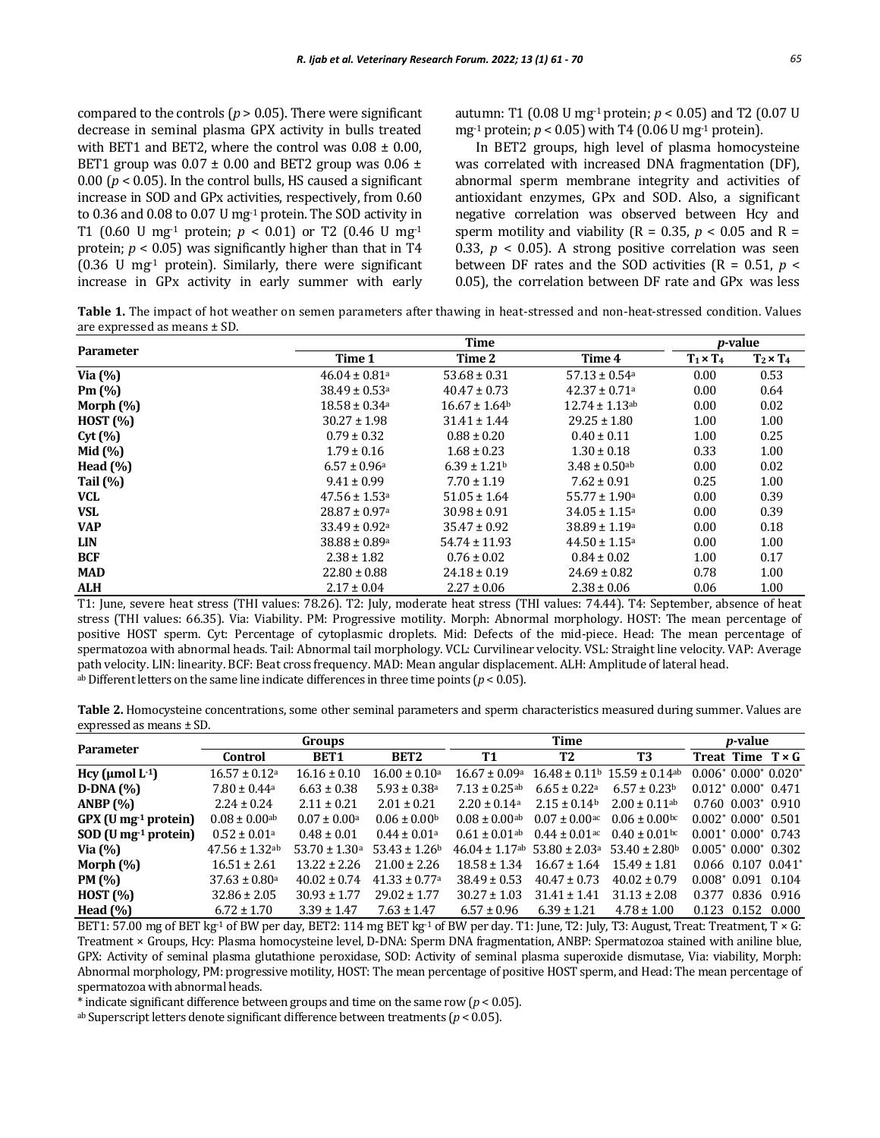compared to the controls ( $p > 0.05$ ). There were significant decrease in seminal plasma GPX activity in bulls treated with BET1 and BET2, where the control was  $0.08 \pm 0.00$ , BET1 group was  $0.07 \pm 0.00$  and BET2 group was  $0.06 \pm 0.00$ 0.00 ( $p < 0.05$ ). In the control bulls, HS caused a significant increase in SOD and GPx activities, respectively, from 0.60 to 0.36 and 0.08 to 0.07 U mg<sup>-1</sup> protein. The SOD activity in T1 (0.60 U mg<sup>-1</sup> protein;  $p < 0.01$ ) or T2 (0.46 U mg<sup>-1</sup> protein;  $p < 0.05$ ) was significantly higher than that in T4  $(0.36 \text{ U} \text{ mg}^1 \text{ protein})$ . Similarly, there were significant increase in GPx activity in early summer with early

autumn: T1 (0.08 U mg-1 protein; *p* < 0.05) and T2 (0.07 U mg<sup>-1</sup> protein;  $p < 0.05$ ) with T4 (0.06 U mg<sup>-1</sup> protein).

In BET2 groups, high level of plasma homocysteine was correlated with increased DNA fragmentation (DF), abnormal sperm membrane integrity and activities of antioxidant enzymes, GPx and SOD. Also, a significant negative correlation was observed between Hcy and sperm motility and viability ( $R = 0.35$ ,  $p < 0.05$  and  $R =$ 0.33,  $p < 0.05$ ). A strong positive correlation was seen between DF rates and the SOD activities ( $R = 0.51$ ,  $p \leq$ 0.05), the correlation between DF rate and GPx was less

**Table 1.** The impact of hot weather on semen parameters after thawing in heat-stressed and non-heat-stressed condition. Values are expressed as means ± SD.

|                  |                               | <i>p</i> -value               |                                |                  |                  |
|------------------|-------------------------------|-------------------------------|--------------------------------|------------------|------------------|
| <b>Parameter</b> | Time 1                        | Time 2                        | Time 4                         | $T_1 \times T_4$ | $T_2 \times T_4$ |
| Via $(\%)$       | $46.04 \pm 0.81$ <sup>a</sup> | $53.68 \pm 0.31$              | $57.13 \pm 0.54$ <sup>a</sup>  | 0.00             | 0.53             |
| Pm(%)            | $38.49 \pm 0.53$ <sup>a</sup> | $40.47 \pm 0.73$              | $42.37 \pm 0.71$ <sup>a</sup>  | 0.00             | 0.64             |
| Morph $(\%)$     | $18.58 \pm 0.34$ <sup>a</sup> | $16.67 \pm 1.64$ <sup>b</sup> | $12.74 \pm 1.13$ <sup>ab</sup> | 0.00             | 0.02             |
| HOST (%)         | $30.27 \pm 1.98$              | $31.41 \pm 1.44$              | $29.25 \pm 1.80$               | 1.00             | 1.00             |
| Cyt(%)           | $0.79 \pm 0.32$               | $0.88 \pm 0.20$               | $0.40 \pm 0.11$                | 1.00             | 0.25             |
| Mid $(%)$        | $1.79 \pm 0.16$               | $1.68 \pm 0.23$               | $1.30 \pm 0.18$                | 0.33             | 1.00             |
| Head $(\% )$     | $6.57 \pm 0.96$ <sup>a</sup>  | $6.39 \pm 1.21$               | $3.48 \pm 0.50$ ab             | 0.00             | 0.02             |
| Tail $(\%)$      | $9.41 \pm 0.99$               | $7.70 \pm 1.19$               | $7.62 \pm 0.91$                | 0.25             | 1.00             |
| <b>VCL</b>       | $47.56 \pm 1.53$ <sup>a</sup> | $51.05 \pm 1.64$              | $55.77 \pm 1.90$ <sup>a</sup>  | 0.00             | 0.39             |
| <b>VSL</b>       | $28.87 \pm 0.97$ <sup>a</sup> | $30.98 \pm 0.91$              | $34.05 \pm 1.15^{\circ}$       | 0.00             | 0.39             |
| <b>VAP</b>       | $33.49 \pm 0.92$ <sup>a</sup> | $35.47 \pm 0.92$              | $38.89 \pm 1.19$ <sup>a</sup>  | 0.00             | 0.18             |
| <b>LIN</b>       | $38.88 \pm 0.89$ <sup>a</sup> | $54.74 \pm 11.93$             | $44.50 \pm 1.15^{\circ}$       | 0.00             | 1.00             |
| <b>BCF</b>       | $2.38 \pm 1.82$               | $0.76 \pm 0.02$               | $0.84 \pm 0.02$                | 1.00             | 0.17             |
| <b>MAD</b>       | $22.80 \pm 0.88$              | $24.18 \pm 0.19$              | $24.69 \pm 0.82$               | 0.78             | 1.00             |
| <b>ALH</b>       | $2.17 \pm 0.04$               | $2.27 \pm 0.06$               | $2.38 \pm 0.06$                | 0.06             | 1.00             |

T1: June, severe heat stress (THI values: 78.26). T2: July, moderate heat stress (THI values: 74.44). T4: September, absence of heat stress (THI values: 66.35). Via: Viability. PM: Progressive motility. Morph: Abnormal morphology. HOST: The mean percentage of positive HOST sperm. Cyt: Percentage of cytoplasmic droplets. Mid: Defects of the mid-piece. Head: The mean percentage of spermatozoa with abnormal heads. Tail: Abnormal tail morphology. VCL: Curvilinear velocity. VSL: Straight line velocity. VAP: Average path velocity. LIN: linearity. BCF: Beat cross frequency. MAD: Mean angular displacement. ALH: Amplitude of lateral head. ab Different letters on the same line indicate differences in three time points  $(p < 0.05)$ .

**Table 2.** Homocysteine concentrations, some other seminal parameters and sperm characteristics measured during summer. Values are expressed as means ± SD.

|                                    |                               | <b>Groups</b>                |                               | Time                                                      |                               |                                                              |       | <i>p</i> -value           |  |  |
|------------------------------------|-------------------------------|------------------------------|-------------------------------|-----------------------------------------------------------|-------------------------------|--------------------------------------------------------------|-------|---------------------------|--|--|
| <b>Parameter</b>                   | Control                       | BET <sub>1</sub>             | BET <sub>2</sub>              | <b>T1</b>                                                 | T2                            | T3                                                           |       | Treat Time $T \times G$   |  |  |
| Hcy ( $\mu$ mol L <sup>-1</sup> )  | $16.57 \pm 0.12$ <sup>a</sup> | $16.16 \pm 0.10$             | $16.00 \pm 0.10^{\circ}$      | $16.67 + 0.09a$                                           |                               | $16.48 \pm 0.11$ <sup>b</sup> $15.59 \pm 0.14$ <sup>ab</sup> |       | $0.006*0.000*0.020*$      |  |  |
| $D-DNA (%)$                        | $7.80 \pm 0.44$ <sup>a</sup>  | $6.63 \pm 0.38$              | $5.93 \pm 0.38$ <sup>a</sup>  | $7.13 \pm 0.25$ <sup>ab</sup>                             | $6.65 \pm 0.22$ <sup>a</sup>  | $6.57 \pm 0.23^{\circ}$                                      |       | $0.012^*$ 0.000* 0.471    |  |  |
| ANBP $(% )$                        | $2.24 \pm 0.24$               | $2.11 \pm 0.21$              | $2.01 \pm 0.21$               | $2.20 \pm 0.14$ <sup>a</sup>                              | $2.15 \pm 0.14$ <sup>b</sup>  | $2.00 \pm 0.11$ <sup>ab</sup>                                |       | $0.760$ $0.003^*$ $0.910$ |  |  |
| $GPX$ (U mg <sup>-1</sup> protein) | $0.08 \pm 0.00$ <sup>ab</sup> | $0.07 \pm 0.00$ <sup>a</sup> | $0.06 \pm 0.00^{\rm b}$       | $0.08 \pm 0.00$ <sup>ab</sup>                             | $0.07 \pm 0.00$ <sup>ac</sup> | $0.06 \pm 0.00$ bc                                           |       | $0.002^*$ 0.000* 0.501    |  |  |
| $SOD$ (U mg <sup>-1</sup> protein) | $0.52 \pm 0.01$ <sup>a</sup>  | $0.48 \pm 0.01$              | $0.44 \pm 0.01a$              | $0.61 + 0.01$ ab                                          | $0.44 \pm 0.01$ ac            | $0.40 \pm 0.01$ bc                                           |       | $0.001^*$ 0.000* 0.743    |  |  |
| Via $(%)$                          | $47.56 \pm 1.32$ ab           | $53.70 \pm 1.30$ a           | $53.43 \pm 1.26$              | $46.04 \pm 1.17$ ab 53.80 $\pm 2.03$ a 53.40 $\pm 2.80$ b |                               |                                                              |       | $0.005^*$ 0.000* 0.302    |  |  |
| Morph $(\%)$                       | $16.51 \pm 2.61$              | $13.22 \pm 2.26$             | $21.00 \pm 2.26$              | $18.58 \pm 1.34$                                          | $16.67 \pm 1.64$              | $15.49 \pm 1.81$                                             |       | $0.066$ $0.107$ $0.041*$  |  |  |
| PM (%)                             | $37.63 \pm 0.80$ <sup>a</sup> | $40.02 \pm 0.74$             | $41.33 \pm 0.77$ <sup>a</sup> | $38.49 \pm 0.53$                                          | $40.47 \pm 0.73$              | $40.02 \pm 0.79$                                             |       | $0.008^*$ 0.091 0.104     |  |  |
| HOST (%)                           | $32.86 \pm 2.05$              | $30.93 \pm 1.77$             | $29.02 \pm 1.77$              | $30.27 \pm 1.03$                                          | $31.41 \pm 1.41$              | $31.13 \pm 2.08$                                             | 0.377 | 0.836 0.916               |  |  |
| Head $(\% )$                       | $6.72 \pm 1.70$               | $3.39 \pm 1.47$              | $7.63 \pm 1.47$               | $6.57 \pm 0.96$                                           | $6.39 \pm 1.21$               | $4.78 \pm 1.00$                                              |       | 0.123 0.152 0.000         |  |  |

BET1: 57.00 mg of BET kg<sup>-1</sup> of BW per day, BET2: 114 mg BET kg<sup>-1</sup> of BW per day. T1: June, T2: July, T3: August, Treat: Treatment, T × G: Treatment × Groups, Hcy: Plasma homocysteine level, D-DNA: Sperm DNA fragmentation, ANBP: Spermatozoa stained with aniline blue, GPX: Activity of seminal plasma glutathione peroxidase, SOD: Activity of seminal plasma superoxide dismutase, Via: viability, Morph: Abnormal morphology, PM: progressive motility, HOST: The mean percentage of positive HOST sperm, and Head: The mean percentage of spermatozoa with abnormal heads.

\* indicate significant difference between groups and time on the same row (*p* < 0.05).

ab Superscript letters denote significant difference between treatments (*p* < 0.05).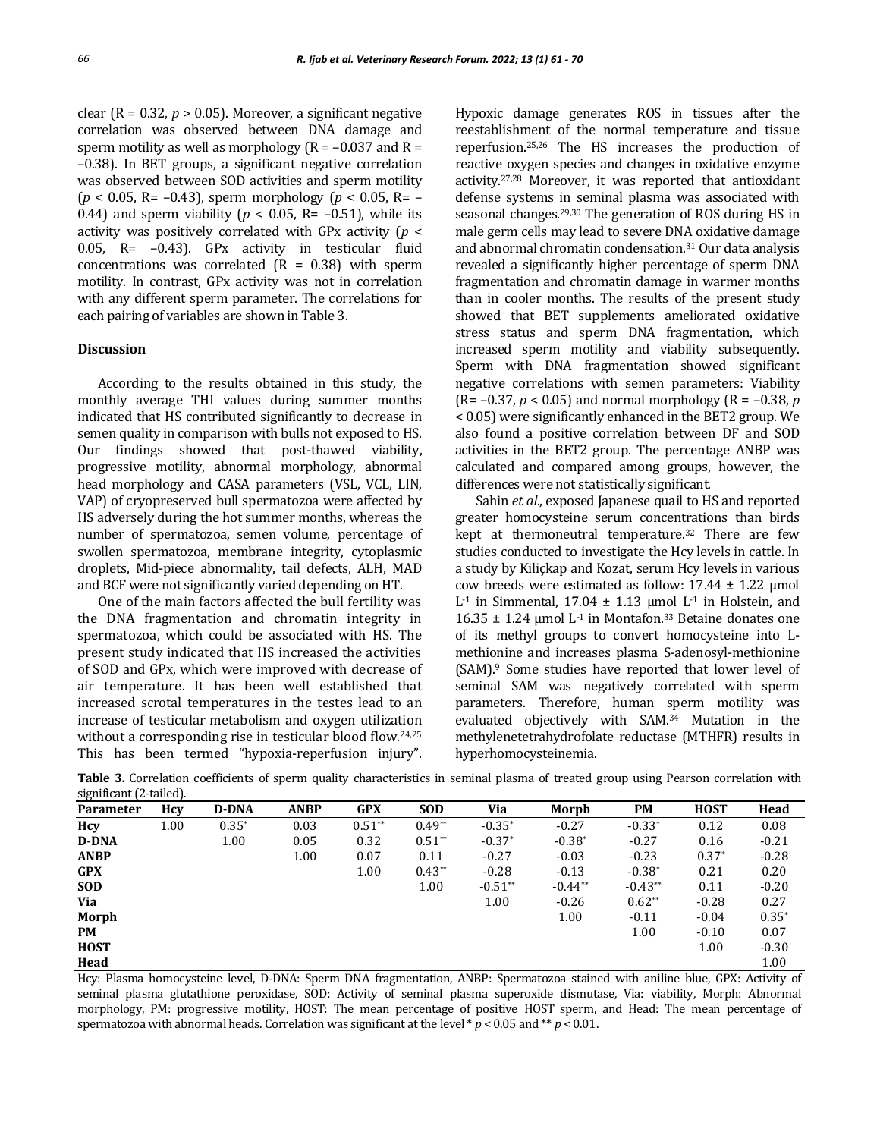clear ( $R = 0.32$ ,  $p > 0.05$ ). Moreover, a significant negative correlation was observed between DNA damage and sperm motility as well as morphology ( $R = -0.037$  and  $R =$ –0.38). In BET groups, a significant negative correlation was observed between SOD activities and sperm motility (*p* < 0.05, R= –0.43), sperm morphology (*p* < 0.05, R= – 0.44) and sperm viability ( $p < 0.05$ , R= -0.51), while its activity was positively correlated with GPx activity (*p* < 0.05, R= –0.43). GPx activity in testicular fluid concentrations was correlated  $(R = 0.38)$  with sperm motility. In contrast, GPx activity was not in correlation with any different sperm parameter. The correlations for each pairing of variables are shown in Table 3.

# **Discussion**

According to the results obtained in this study, the monthly average THI values during summer months indicated that HS contributed significantly to decrease in semen quality in comparison with bulls not exposed to HS. Our findings showed that post-thawed viability, progressive motility, abnormal morphology, abnormal head morphology and CASA parameters (VSL, VCL, LIN, VAP) of cryopreserved bull spermatozoa were affected by HS adversely during the hot summer months, whereas the number of spermatozoa, semen volume, percentage of swollen spermatozoa, membrane integrity, cytoplasmic droplets, Mid-piece abnormality, tail defects, ALH, MAD and BCF were not significantly varied depending on HT.

One of the main factors affected the bull fertility was the DNA fragmentation and chromatin integrity in spermatozoa, which could be associated with HS. The present study indicated that HS increased the activities of SOD and GPx, which were improved with decrease of air temperature. It has been well established that increased scrotal temperatures in the testes lead to an increase of testicular metabolism and oxygen utilization without a corresponding rise in testicular blood flow.<sup>24,25</sup> This has been termed "hypoxia-reperfusion injury". Hypoxic damage generates ROS in tissues after the reestablishment of the normal temperature and tissue reperfusion.25,26 The HS increases the production of reactive oxygen species and changes in oxidative enzyme activity.27,28 Moreover, it was reported that antioxidant defense systems in seminal plasma was associated with seasonal changes.29,30 The generation of ROS during HS in male germ cells may lead to severe DNA oxidative damage and abnormal chromatin condensation.<sup>31</sup> Our data analysis revealed a significantly higher percentage of sperm DNA fragmentation and chromatin damage in warmer months than in cooler months. The results of the present study showed that BET supplements ameliorated oxidative stress status and sperm DNA fragmentation, which increased sperm motility and viability subsequently. Sperm with DNA fragmentation showed significant negative correlations with semen parameters: Viability (R= –0.37, *p* < 0.05) and normal morphology (R = –0.38, *p* < 0.05) were significantly enhanced in the BET2 group. We also found a positive correlation between DF and SOD activities in the BET2 group. The percentage ANBP was calculated and compared among groups, however, the differences were not statistically significant.

Sahin *et al*., exposed Japanese quail to HS and reported greater homocysteine serum concentrations than birds kept at thermoneutral temperature.<sup>32</sup> There are few studies conducted to investigate the Hcy levels in cattle. In a study by Kiliçkap and Kozat, serum Hcy levels in various cow breeds were estimated as follow: 17.44 ± 1.22 μmol L<sup>-1</sup> in Simmental, 17.04  $±$  1.13 μmol L<sup>-1</sup> in Holstein, and  $16.35 \pm 1.24$  µmol L<sup>-1</sup> in Montafon.<sup>33</sup> Betaine donates one of its methyl groups to convert homocysteine into Lmethionine and increases plasma S-adenosyl-methionine (SAM).<sup>9</sup> Some studies have reported that lower level of seminal SAM was negatively correlated with sperm parameters. Therefore, human sperm motility was evaluated objectively with SAM.<sup>34</sup> Mutation in the methylenetetrahydrofolate reductase (MTHFR) results in hyperhomocysteinemia.

| $\alpha$         |      |              |             |            |            |           |           |           |             |         |
|------------------|------|--------------|-------------|------------|------------|-----------|-----------|-----------|-------------|---------|
| <b>Parameter</b> | Hcy  | <b>D-DNA</b> | <b>ANBP</b> | <b>GPX</b> | <b>SOD</b> | Via       | Morph     | PM        | <b>HOST</b> | Head    |
| Hcy              | 1.00 | $0.35*$      | 0.03        | $0.51**$   | $0.49**$   | $-0.35*$  | $-0.27$   | $-0.33*$  | 0.12        | 0.08    |
| <b>D-DNA</b>     |      | 1.00         | 0.05        | 0.32       | $0.51**$   | $-0.37*$  | $-0.38*$  | $-0.27$   | 0.16        | $-0.21$ |
| <b>ANBP</b>      |      |              | 1.00        | 0.07       | 0.11       | $-0.27$   | $-0.03$   | $-0.23$   | $0.37*$     | $-0.28$ |
| <b>GPX</b>       |      |              |             | 1.00       | $0.43**$   | $-0.28$   | $-0.13$   | $-0.38*$  | 0.21        | 0.20    |
| <b>SOD</b>       |      |              |             |            | 1.00       | $-0.51**$ | $-0.44**$ | $-0.43**$ | 0.11        | $-0.20$ |
| Via              |      |              |             |            |            | 1.00      | $-0.26$   | $0.62**$  | $-0.28$     | 0.27    |
| Morph            |      |              |             |            |            |           | 1.00      | $-0.11$   | $-0.04$     | $0.35*$ |
| PM               |      |              |             |            |            |           |           | 1.00      | $-0.10$     | 0.07    |
| <b>HOST</b>      |      |              |             |            |            |           |           |           | 1.00        | $-0.30$ |
| Head             |      |              |             |            |            |           |           |           |             | 1.00    |

**Table 3.** Correlation coefficients of sperm quality characteristics in seminal plasma of treated group using Pearson correlation with significant (2-tailed).

Hcy: Plasma homocysteine level, D-DNA: Sperm DNA fragmentation, ANBP: Spermatozoa stained with aniline blue, GPX: Activity of seminal plasma glutathione peroxidase, SOD: Activity of seminal plasma superoxide dismutase, Via: viability, Morph: Abnormal morphology, PM: progressive motility, HOST: The mean percentage of positive HOST sperm, and Head: The mean percentage of spermatozoa with abnormal heads. Correlation was significant at the level \* *p* < 0.05 and \*\* *p* < 0.01.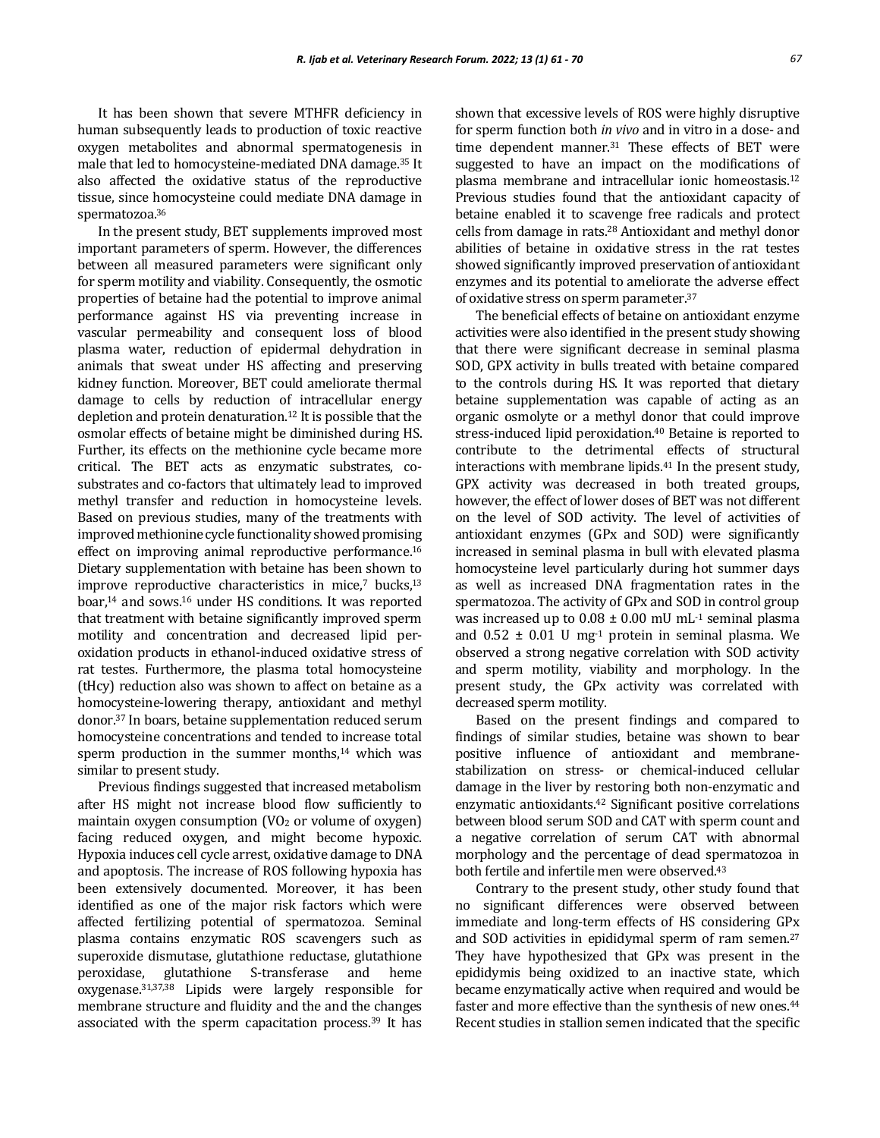It has been shown that severe MTHFR deficiency in human subsequently leads to production of toxic reactive oxygen metabolites and abnormal spermatogenesis in male that led to homocysteine-mediated DNA damage.<sup>35</sup> It also affected the oxidative status of the reproductive tissue, since homocysteine could mediate DNA damage in spermatozoa.<sup>36</sup>

In the present study, BET supplements improved most important parameters of sperm. However, the differences between all measured parameters were significant only for sperm motility and viability. Consequently, the osmotic properties of betaine had the potential to improve animal performance against HS via preventing increase in vascular permeability and consequent loss of blood plasma water, reduction of epidermal dehydration in animals that sweat under HS affecting and preserving kidney function. Moreover, BET could ameliorate thermal damage to cells by reduction of intracellular energy depletion and protein denaturation.<sup>12</sup> It is possible that the osmolar effects of betaine might be diminished during HS. Further, its effects on the methionine cycle became more critical. The BET acts as enzymatic substrates, cosubstrates and co-factors that ultimately lead to improved methyl transfer and reduction in homocysteine levels. Based on previous studies, many of the treatments with improved methionine cycle functionality showed promising effect on improving animal reproductive performance.<sup>16</sup> Dietary supplementation with betaine has been shown to improve reproductive characteristics in mice, $7$  bucks, $13$ boar,<sup>14</sup> and sows.<sup>16</sup> under HS conditions. It was reported that treatment with betaine significantly improved sperm motility and concentration and decreased lipid peroxidation products in ethanol-induced oxidative stress of rat testes. Furthermore, the plasma total homocysteine (tHcy) reduction also was shown to affect on betaine as a homocysteine-lowering therapy, antioxidant and methyl donor.<sup>37</sup> In boars, betaine supplementation reduced serum homocysteine concentrations and tended to increase total sperm production in the summer months,<sup>14</sup> which was similar to present study.

Previous findings suggested that increased metabolism after HS might not increase blood flow sufficiently to maintain oxygen consumption  $(VO<sub>2</sub>$  or volume of oxygen) facing reduced oxygen, and might become hypoxic. Hypoxia induces cell cycle arrest, oxidative damage to DNA and apoptosis. The increase of ROS following hypoxia has been extensively documented. Moreover, it has been identified as one of the major risk factors which were affected fertilizing potential of spermatozoa. Seminal plasma contains enzymatic ROS scavengers such as superoxide dismutase, glutathione reductase, glutathione peroxidase, glutathione S-transferase and heme oxygenase.31,37,38 Lipids were largely responsible for membrane structure and fluidity and the and the changes associated with the sperm capacitation process. <sup>39</sup> It has

shown that excessive levels of ROS were highly disruptive for sperm function both *in vivo* and in vitro in a dose- and time dependent manner.<sup>31</sup> These effects of BET were suggested to have an impact on the modifications of plasma membrane and intracellular ionic homeostasis.<sup>12</sup> Previous studies found that the antioxidant capacity of betaine enabled it to scavenge free radicals and protect cells from damage in rats.<sup>28</sup> Antioxidant and methyl donor abilities of betaine in oxidative stress in the rat testes showed significantly improved preservation of antioxidant enzymes and its potential to ameliorate the adverse effect of oxidative stress on sperm parameter.<sup>37</sup>

The beneficial effects of betaine on antioxidant enzyme activities were also identified in the present study showing that there were significant decrease in seminal plasma SOD, GPX activity in bulls treated with betaine compared to the controls during HS. It was reported that dietary betaine supplementation was capable of acting as an organic osmolyte or a methyl donor that could improve stress-induced lipid peroxidation.<sup>40</sup> Betaine is reported to contribute to the detrimental effects of structural interactions with membrane lipids.<sup>41</sup> In the present study, GPX activity was decreased in both treated groups, however, the effect of lower doses of BET was not different on the level of SOD activity. The level of activities of antioxidant enzymes (GPx and SOD) were significantly increased in seminal plasma in bull with elevated plasma homocysteine level particularly during hot summer days as well as increased DNA fragmentation rates in the spermatozoa. The activity of GPx and SOD in control group was increased up to  $0.08 \pm 0.00$  mU mL<sup>-1</sup> seminal plasma and  $0.52 \pm 0.01$  U mg<sup>-1</sup> protein in seminal plasma. We observed a strong negative correlation with SOD activity and sperm motility, viability and morphology. In the present study, the GPx activity was correlated with decreased sperm motility.

Based on the present findings and compared to findings of similar studies, betaine was shown to bear positive influence of antioxidant and membranestabilization on stress- or chemical-induced cellular damage in the liver by restoring both non-enzymatic and enzymatic antioxidants.<sup>42</sup> Significant positive correlations between blood serum SOD and CAT with sperm count and a negative correlation of serum CAT with abnormal morphology and the percentage of dead spermatozoa in both fertile and infertile men were observed.<sup>43</sup>

Contrary to the present study, other study found that no significant differences were observed between immediate and long-term effects of HS considering GPx and SOD activities in epididymal sperm of ram semen.<sup>27</sup> They have hypothesized that GPx was present in the epididymis being oxidized to an inactive state, which became enzymatically active when required and would be faster and more effective than the synthesis of new ones.<sup>44</sup> Recent studies in stallion semen indicated that the specific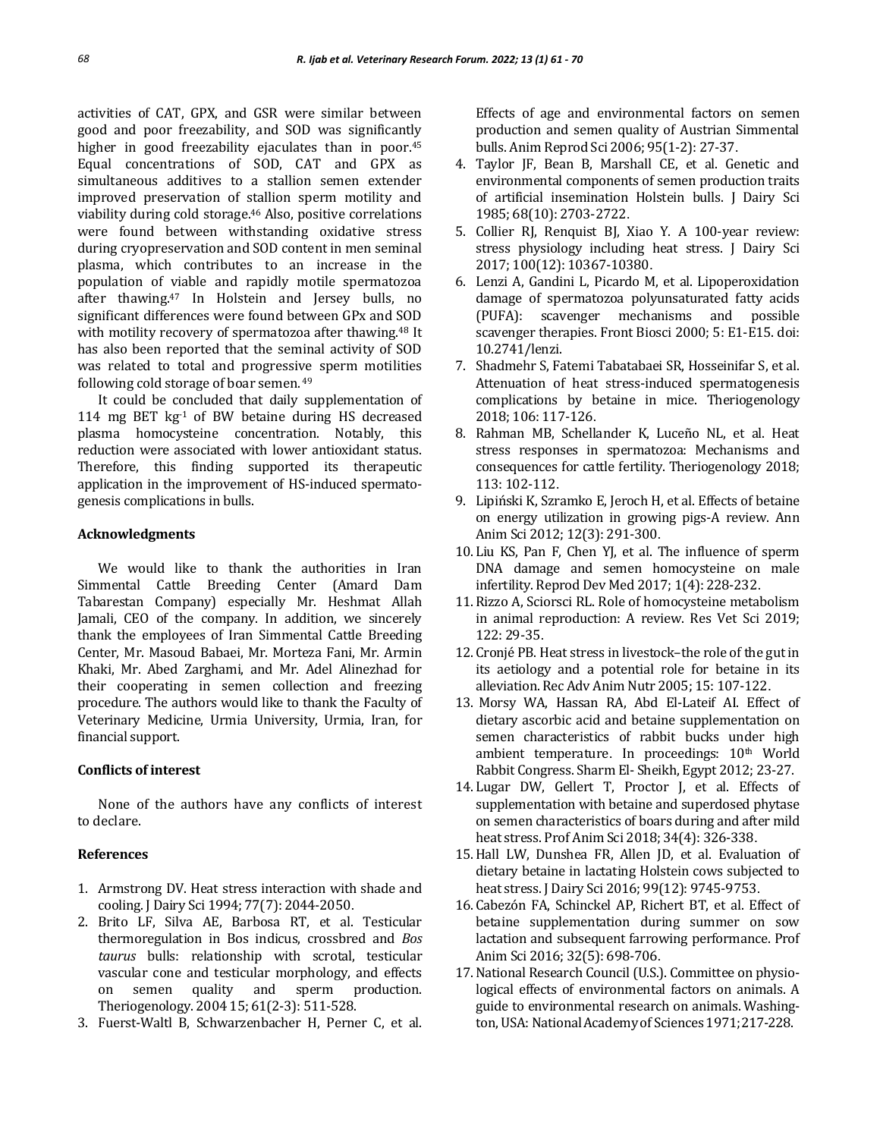activities of CAT, GPX, and GSR were similar between good and poor freezability, and SOD was significantly higher in good freezability ejaculates than in poor.<sup>45</sup> Equal concentrations of SOD, CAT and GPX as simultaneous additives to a stallion semen extender improved preservation of stallion sperm motility and viability during cold storage.<sup>46</sup> Also, positive correlations were found between withstanding oxidative stress during cryopreservation and SOD content in men seminal plasma, which contributes to an increase in the population of viable and rapidly motile spermatozoa after thawing.<sup>47</sup> In Holstein and Jersey bulls, no significant differences were found between GPx and SOD with motility recovery of spermatozoa after thawing.<sup>48</sup> It has also been reported that the seminal activity of SOD was related to total and progressive sperm motilities following cold storage of boar semen. <sup>49</sup>

It could be concluded that daily supplementation of 114 mg BET  $kg<sup>-1</sup>$  of BW betaine during HS decreased plasma homocysteine concentration. Notably, this reduction were associated with lower antioxidant status. Therefore, this finding supported its therapeutic application in the improvement of HS-induced spermatogenesis complications in bulls.

## **Acknowledgments**

We would like to thank the authorities in Iran Simmental Cattle Breeding Center (Amard Dam Tabarestan Company) especially Mr. Heshmat Allah Jamali, CEO of the company. In addition, we sincerely thank the employees of Iran Simmental Cattle Breeding Center, Mr. Masoud Babaei, Mr. Morteza Fani, Mr. Armin Khaki, Mr. Abed Zarghami, and Mr. Adel Alinezhad for their cooperating in semen collection and freezing procedure. The authors would like to thank the Faculty of Veterinary Medicine, Urmia University, Urmia, Iran, for financial support.

## **Conflicts of interest**

None of the authors have any conflicts of interest to declare.

#### **References**

- 1. Armstrong DV. Heat stress interaction with shade and cooling. J Dairy Sci 1994; 77(7): 2044-2050.
- 2. Brito LF, Silva AE, Barbosa RT, et al. Testicular thermoregulation in Bos indicus, crossbred and *Bos taurus* bulls: relationship with scrotal, testicular vascular cone and testicular morphology, and effects on semen quality and sperm production. Theriogenology. 2004 15; 61(2-3): 511-528.
- 3. Fuerst-Waltl B, Schwarzenbacher H, Perner C, et al.

Effects of age and environmental factors on semen production and semen quality of Austrian Simmental bulls. Anim Reprod Sci 2006; 95(1-2): 27-37.

- 4. Taylor JF, Bean B, Marshall CE, et al. Genetic and environmental components of semen production traits of artificial insemination Holstein bulls. J Dairy Sci 1985; 68(10): 2703-2722.
- 5. Collier RJ, Renquist BJ, Xiao Y. A 100-year review: stress physiology including heat stress. J Dairy Sci 2017; 100(12): 10367-10380.
- 6. Lenzi A, Gandini L, Picardo M, et al. Lipoperoxidation damage of spermatozoa polyunsaturated fatty acids (PUFA): scavenger mechanisms and possible scavenger therapies. Front Biosci 2000; 5: E1-E15. doi: 10.2741/lenzi.
- 7. Shadmehr S, Fatemi Tabatabaei SR, Hosseinifar S, et al. Attenuation of heat stress-induced spermatogenesis complications by betaine in mice. Theriogenology 2018; 106: 117-126.
- 8. Rahman MB, Schellander K, Luceño NL, et al. Heat stress responses in spermatozoa: Mechanisms and consequences for cattle fertility. Theriogenology 2018; 113: 102-112.
- 9. Lipiński K, Szramko E, Jeroch H, et al. Effects of betaine on energy utilization in growing pigs-A review. Ann Anim Sci 2012; 12(3): 291-300.
- 10. Liu KS, Pan F, Chen YJ, et al. The influence of sperm DNA damage and semen homocysteine on male infertility. Reprod Dev Med 2017; 1(4): 228-232.
- 11. Rizzo A, Sciorsci RL. Role of homocysteine metabolism in animal reproduction: A review. Res Vet Sci 2019; 122: 29-35.
- 12. Cronjé PB. Heat stress in livestock–the role of the gut in its aetiology and a potential role for betaine in its alleviation. Rec Adv Anim Nutr 2005; 15: 107-122.
- 13. Morsy WA, Hassan RA, Abd El-Lateif AI. Effect of dietary ascorbic acid and betaine supplementation on semen characteristics of rabbit bucks under high ambient temperature. In proceedings: 10<sup>th</sup> World Rabbit Congress. Sharm El- Sheikh, Egypt 2012; 23-27.
- 14. Lugar DW, Gellert T, Proctor J, et al. Effects of supplementation with betaine and superdosed phytase on semen characteristics of boars during and after mild heat stress. Prof Anim Sci 2018; 34(4): 326-338.
- 15.Hall LW, Dunshea FR, Allen JD, et al. Evaluation of dietary betaine in lactating Holstein cows subjected to heat stress. J Dairy Sci 2016; 99(12): 9745-9753.
- 16. Cabezón FA, Schinckel AP, Richert BT, et al. Effect of betaine supplementation during summer on sow lactation and subsequent farrowing performance. Prof Anim Sci 2016; 32(5): 698-706.
- 17.National Research Council (U.S.). Committee on physiological effects of environmental factors on animals. A guide to environmental research on animals. Washington, USA: National Academy of Sciences 1971; 217-228.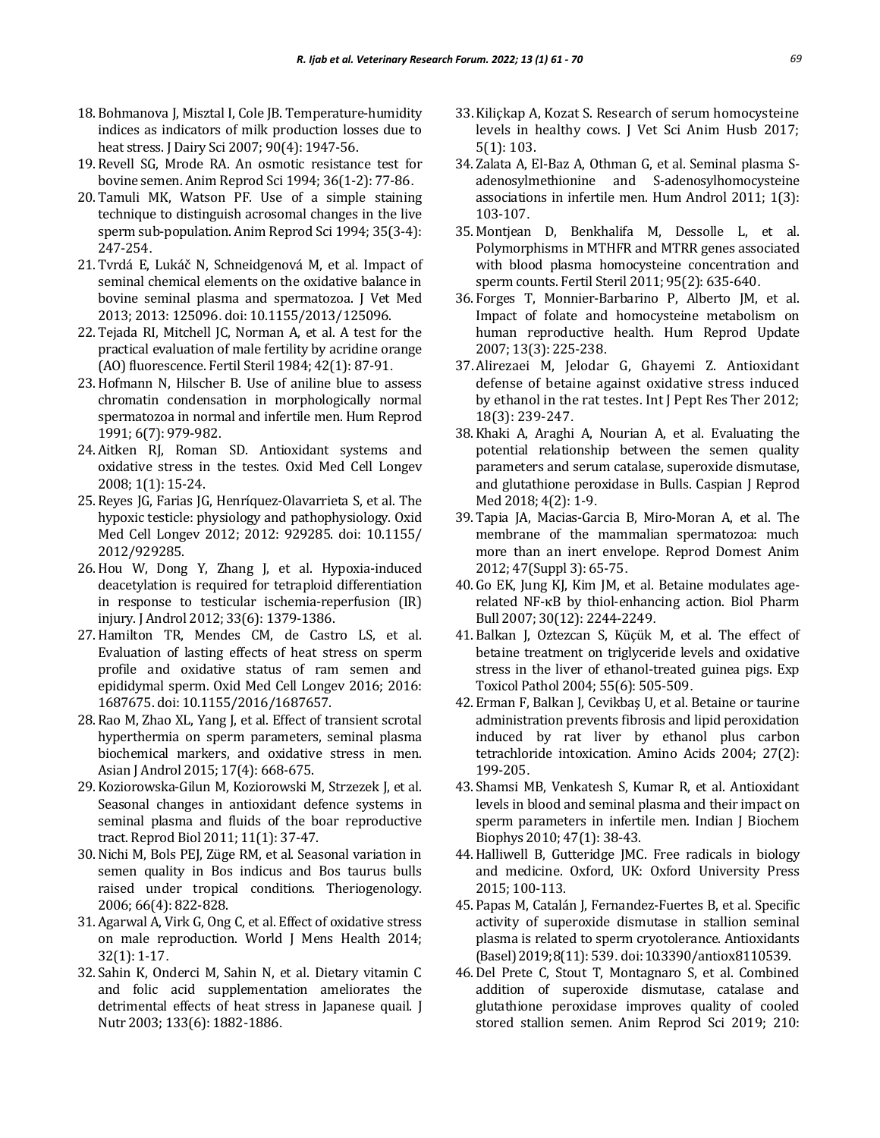- 18. Bohmanova J, Misztal I, Cole JB. Temperature-humidity indices as indicators of milk production losses due to heat stress. J Dairy Sci 2007; 90(4): 1947-56.
- 19. Revell SG, Mrode RA. An osmotic resistance test for bovine semen. Anim Reprod Sci 1994; 36(1-2): 77-86.
- 20. Tamuli MK, Watson PF. Use of a simple staining technique to distinguish acrosomal changes in the live sperm sub-population. Anim Reprod Sci 1994; 35(3-4): 247-254.
- 21. Tvrdá E, Lukáč N, Schneidgenová M, et al. Impact of seminal chemical elements on the oxidative balance in bovine seminal plasma and spermatozoa. J Vet Med 2013; 2013: 125096. doi: 10.1155/2013/125096.
- 22. Tejada RI, Mitchell JC, Norman A, et al. A test for the practical evaluation of male fertility by acridine orange (AO) fluorescence. Fertil Steril 1984; 42(1): 87-91.
- 23.Hofmann N, Hilscher B. Use of aniline blue to assess chromatin condensation in morphologically normal spermatozoa in normal and infertile men. Hum Reprod 1991; 6(7): 979-982.
- 24. Aitken RJ, Roman SD. Antioxidant systems and oxidative stress in the testes. Oxid Med Cell Longev 2008; 1(1): 15-24.
- 25. Reyes JG, Farias JG, Henríquez-Olavarrieta S, et al. The hypoxic testicle: physiology and pathophysiology. Oxid Med Cell Longev 2012; 2012: 929285. doi: 10.1155/ 2012/929285.
- 26.Hou W, Dong Y, Zhang J, et al. Hypoxia‐induced deacetylation is required for tetraploid differentiation in response to testicular ischemia‐reperfusion (IR) injury. J Androl 2012; 33(6): 1379-1386.
- 27.Hamilton TR, Mendes CM, de Castro LS, et al. Evaluation of lasting effects of heat stress on sperm profile and oxidative status of ram semen and epididymal sperm. Oxid Med Cell Longev 2016; 2016: 1687675. doi: 10.1155/2016/1687657.
- 28. Rao M, Zhao XL, Yang J, et al. Effect of transient scrotal hyperthermia on sperm parameters, seminal plasma biochemical markers, and oxidative stress in men. Asian J Androl 2015; 17(4): 668-675.
- 29. Koziorowska-Gilun M, Koziorowski M, Strzezek J, et al. Seasonal changes in antioxidant defence systems in seminal plasma and fluids of the boar reproductive tract. Reprod Biol 2011; 11(1): 37-47.
- 30.Nichi M, Bols PEJ, Züge RM, et al. Seasonal variation in semen quality in Bos indicus and Bos taurus bulls raised under tropical conditions. Theriogenology. 2006; 66(4): 822-828.
- 31. Agarwal A, Virk G, Ong C, et al. Effect of oxidative stress on male reproduction. World J Mens Health 2014; 32(1): 1-17.
- 32. Sahin K, Onderci M, Sahin N, et al. Dietary vitamin C and folic acid supplementation ameliorates the detrimental effects of heat stress in Japanese quail. J Nutr 2003; 133(6): 1882-1886.
- 33.Kiliçkap A, Kozat S. Research of serum homocysteine levels in healthy cows. J Vet Sci Anim Husb 2017; 5(1): 103.
- 34. Zalata A, El-Baz A, Othman G, et al. Seminal plasma Sadenosylmethionine and S-adenosylhomocysteine associations in infertile men. Hum Androl 2011; 1(3): 103-107.
- 35. Montjean D, Benkhalifa M, Dessolle L, et al. Polymorphisms in MTHFR and MTRR genes associated with blood plasma homocysteine concentration and sperm counts. Fertil Steril 2011; 95(2): 635-640.
- 36. Forges T, Monnier-Barbarino P, Alberto JM, et al. Impact of folate and homocysteine metabolism on human reproductive health. Hum Reprod Update 2007; 13(3): 225-238.
- 37.Alirezaei M, Jelodar G, Ghayemi Z. Antioxidant defense of betaine against oxidative stress induced by ethanol in the rat testes. Int J Pept Res Ther 2012; 18(3): 239-247.
- 38. Khaki A, Araghi A, Nourian A, et al. Evaluating the potential relationship between the semen quality parameters and serum catalase, superoxide dismutase, and glutathione peroxidase in Bulls. Caspian J Reprod Med 2018; 4(2): 1-9.
- 39. Tapia JA, Macias‐Garcia B, Miro‐Moran A, et al. The membrane of the mammalian spermatozoa: much more than an inert envelope. Reprod Domest Anim 2012; 47(Suppl 3): 65-75.
- 40. Go EK, Jung KJ, Kim JM, et al. Betaine modulates agerelated NF-κB by thiol-enhancing action. Biol Pharm Bull 2007; 30(12): 2244-2249.
- 41. Balkan J, Oztezcan S, Küçük M, et al. The effect of betaine treatment on triglyceride levels and oxidative stress in the liver of ethanol-treated guinea pigs. Exp Toxicol Pathol 2004; 55(6): 505-509.
- 42. Erman F, Balkan J, Cevikbaş U, et al. Betaine or taurine administration prevents fibrosis and lipid peroxidation induced by rat liver by ethanol plus carbon tetrachloride intoxication. Amino Acids 2004; 27(2): 199-205.
- 43. Shamsi MB, Venkatesh S, Kumar R, et al. Antioxidant levels in blood and seminal plasma and their impact on sperm parameters in infertile men. Indian J Biochem Biophys 2010; 47(1): 38-43.
- 44.Halliwell B, Gutteridge JMC. Free radicals in biology and medicine. Oxford, UK: Oxford University Press 2015; 100-113.
- 45. Papas M, Catalán J, Fernandez-Fuertes B, et al. Specific activity of superoxide dismutase in stallion seminal plasma is related to sperm cryotolerance. Antioxidants (Basel)2019; 8(11): 539. doi:10.3390/antiox8110539.
- 46. Del Prete C, Stout T, Montagnaro S, et al. Combined addition of superoxide dismutase, catalase and glutathione peroxidase improves quality of cooled stored stallion semen. Anim Reprod Sci 2019; 210: